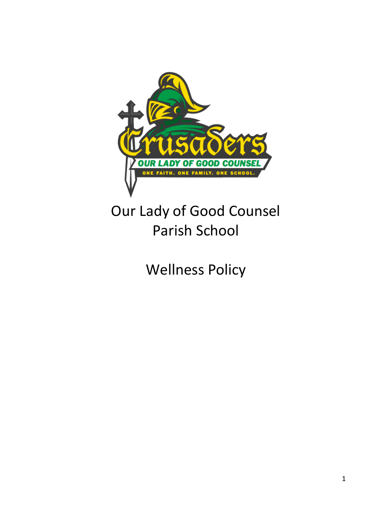

# Our Lady of Good Counsel Parish School

Wellness Policy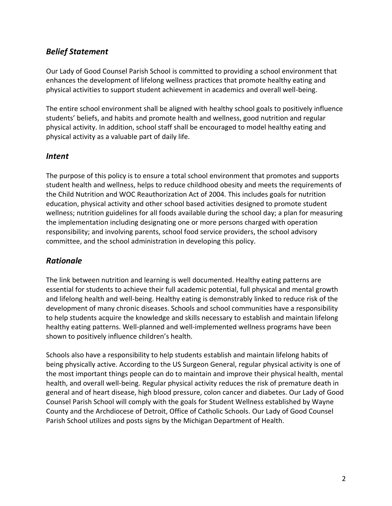## *Belief Statement*

Our Lady of Good Counsel Parish School is committed to providing a school environment that enhances the development of lifelong wellness practices that promote healthy eating and physical activities to support student achievement in academics and overall well-being.

The entire school environment shall be aligned with healthy school goals to positively influence students' beliefs, and habits and promote health and wellness, good nutrition and regular physical activity. In addition, school staff shall be encouraged to model healthy eating and physical activity as a valuable part of daily life.

#### *Intent*

The purpose of this policy is to ensure a total school environment that promotes and supports student health and wellness, helps to reduce childhood obesity and meets the requirements of the Child Nutrition and WOC Reauthorization Act of 2004. This includes goals for nutrition education, physical activity and other school based activities designed to promote student wellness; nutrition guidelines for all foods available during the school day; a plan for measuring the implementation including designating one or more persons charged with operation responsibility; and involving parents, school food service providers, the school advisory committee, and the school administration in developing this policy.

## *Rationale*

The link between nutrition and learning is well documented. Healthy eating patterns are essential for students to achieve their full academic potential, full physical and mental growth and lifelong health and well-being. Healthy eating is demonstrably linked to reduce risk of the development of many chronic diseases. Schools and school communities have a responsibility to help students acquire the knowledge and skills necessary to establish and maintain lifelong healthy eating patterns. Well-planned and well-implemented wellness programs have been shown to positively influence children's health.

Schools also have a responsibility to help students establish and maintain lifelong habits of being physically active. According to the US Surgeon General, regular physical activity is one of the most important things people can do to maintain and improve their physical health, mental health, and overall well-being. Regular physical activity reduces the risk of premature death in general and of heart disease, high blood pressure, colon cancer and diabetes. Our Lady of Good Counsel Parish School will comply with the goals for Student Wellness established by Wayne County and the Archdiocese of Detroit, Office of Catholic Schools. Our Lady of Good Counsel Parish School utilizes and posts signs by the Michigan Department of Health.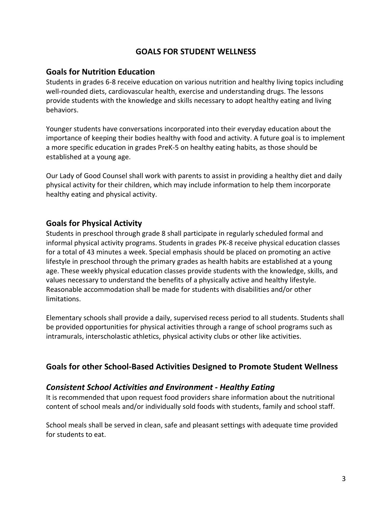### **GOALS FOR STUDENT WELLNESS**

#### **Goals for Nutrition Education**

Students in grades 6-8 receive education on various nutrition and healthy living topics including well-rounded diets, cardiovascular health, exercise and understanding drugs. The lessons provide students with the knowledge and skills necessary to adopt healthy eating and living behaviors.

Younger students have conversations incorporated into their everyday education about the importance of keeping their bodies healthy with food and activity. A future goal is to implement a more specific education in grades PreK-5 on healthy eating habits, as those should be established at a young age.

Our Lady of Good Counsel shall work with parents to assist in providing a healthy diet and daily physical activity for their children, which may include information to help them incorporate healthy eating and physical activity.

#### **Goals for Physical Activity**

Students in preschool through grade 8 shall participate in regularly scheduled formal and informal physical activity programs. Students in grades PK-8 receive physical education classes for a total of 43 minutes a week. Special emphasis should be placed on promoting an active lifestyle in preschool through the primary grades as health habits are established at a young age. These weekly physical education classes provide students with the knowledge, skills, and values necessary to understand the benefits of a physically active and healthy lifestyle. Reasonable accommodation shall be made for students with disabilities and/or other limitations.

Elementary schools shall provide a daily, supervised recess period to all students. Students shall be provided opportunities for physical activities through a range of school programs such as intramurals, interscholastic athletics, physical activity clubs or other like activities.

#### **Goals for other School-Based Activities Designed to Promote Student Wellness**

#### *Consistent School Activities and Environment - Healthy Eating*

It is recommended that upon request food providers share information about the nutritional content of school meals and/or individually sold foods with students, family and school staff.

School meals shall be served in clean, safe and pleasant settings with adequate time provided for students to eat.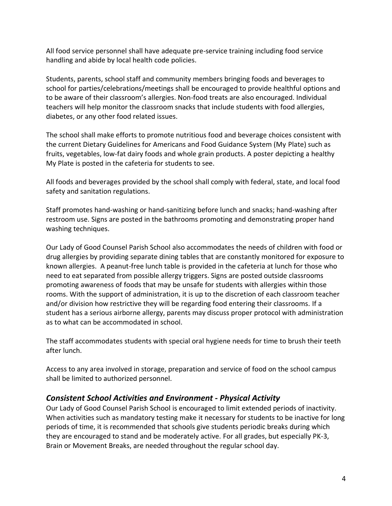All food service personnel shall have adequate pre-service training including food service handling and abide by local health code policies.

Students, parents, school staff and community members bringing foods and beverages to school for parties/celebrations/meetings shall be encouraged to provide healthful options and to be aware of their classroom's allergies. Non-food treats are also encouraged. Individual teachers will help monitor the classroom snacks that include students with food allergies, diabetes, or any other food related issues.

The school shall make efforts to promote nutritious food and beverage choices consistent with the current Dietary Guidelines for Americans and Food Guidance System (My Plate) such as fruits, vegetables, low-fat dairy foods and whole grain products. A poster depicting a healthy My Plate is posted in the cafeteria for students to see.

All foods and beverages provided by the school shall comply with federal, state, and local food safety and sanitation regulations.

Staff promotes hand-washing or hand-sanitizing before lunch and snacks; hand-washing after restroom use. Signs are posted in the bathrooms promoting and demonstrating proper hand washing techniques.

Our Lady of Good Counsel Parish School also accommodates the needs of children with food or drug allergies by providing separate dining tables that are constantly monitored for exposure to known allergies. A peanut-free lunch table is provided in the cafeteria at lunch for those who need to eat separated from possible allergy triggers. Signs are posted outside classrooms promoting awareness of foods that may be unsafe for students with allergies within those rooms. With the support of administration, it is up to the discretion of each classroom teacher and/or division how restrictive they will be regarding food entering their classrooms. If a student has a serious airborne allergy, parents may discuss proper protocol with administration as to what can be accommodated in school.

The staff accommodates students with special oral hygiene needs for time to brush their teeth after lunch.

Access to any area involved in storage, preparation and service of food on the school campus shall be limited to authorized personnel.

#### *Consistent School Activities and Environment - Physical Activity*

Our Lady of Good Counsel Parish School is encouraged to limit extended periods of inactivity. When activities such as mandatory testing make it necessary for students to be inactive for long periods of time, it is recommended that schools give students periodic breaks during which they are encouraged to stand and be moderately active. For all grades, but especially PK-3, Brain or Movement Breaks, are needed throughout the regular school day.